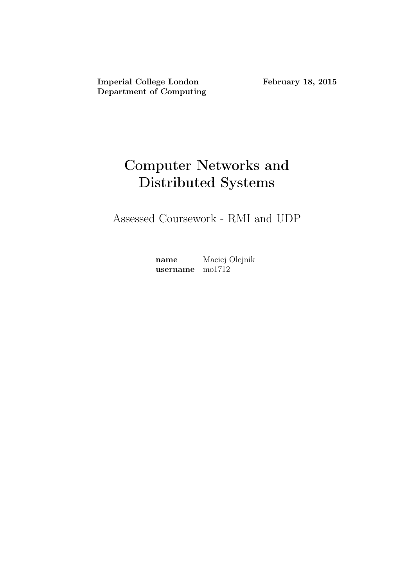Imperial College London February 18, 2015 Department of Computing

# Computer Networks and Distributed Systems

Assessed Coursework - RMI and UDP

name Maciej Olejnik username mo1712